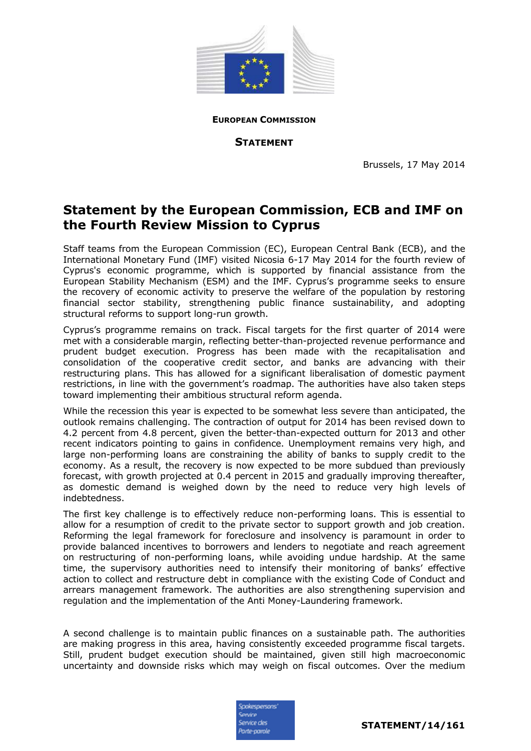

**EUROPEAN COMMISSION**

**STATEMENT**

Brussels, 17 May 2014

## **Statement by the European Commission, ECB and IMF on the Fourth Review Mission to Cyprus**

Staff teams from the European Commission (EC), European Central Bank (ECB), and the International Monetary Fund (IMF) visited Nicosia 6-17 May 2014 for the fourth review of Cyprus's economic programme, which is supported by financial assistance from the European Stability Mechanism (ESM) and the IMF. Cyprus's programme seeks to ensure the recovery of economic activity to preserve the welfare of the population by restoring financial sector stability, strengthening public finance sustainability, and adopting structural reforms to support long-run growth.

Cyprus's programme remains on track. Fiscal targets for the first quarter of 2014 were met with a considerable margin, reflecting better-than-projected revenue performance and prudent budget execution. Progress has been made with the recapitalisation and consolidation of the cooperative credit sector, and banks are advancing with their restructuring plans. This has allowed for a significant liberalisation of domestic payment restrictions, in line with the government's roadmap. The authorities have also taken steps toward implementing their ambitious structural reform agenda.

While the recession this year is expected to be somewhat less severe than anticipated, the outlook remains challenging. The contraction of output for 2014 has been revised down to 4.2 percent from 4.8 percent, given the better-than-expected outturn for 2013 and other recent indicators pointing to gains in confidence. Unemployment remains very high, and large non-performing loans are constraining the ability of banks to supply credit to the economy. As a result, the recovery is now expected to be more subdued than previously forecast, with growth projected at 0.4 percent in 2015 and gradually improving thereafter, as domestic demand is weighed down by the need to reduce very high levels of indebtedness.

The first key challenge is to effectively reduce non-performing loans. This is essential to allow for a resumption of credit to the private sector to support growth and job creation. Reforming the legal framework for foreclosure and insolvency is paramount in order to provide balanced incentives to borrowers and lenders to negotiate and reach agreement on restructuring of non-performing loans, while avoiding undue hardship. At the same time, the supervisory authorities need to intensify their monitoring of banks' effective action to collect and restructure debt in compliance with the existing Code of Conduct and arrears management framework. The authorities are also strengthening supervision and regulation and the implementation of the Anti Money-Laundering framework.

A second challenge is to maintain public finances on a sustainable path. The authorities are making progress in this area, having consistently exceeded programme fiscal targets. Still, prudent budget execution should be maintained, given still high macroeconomic uncertainty and downside risks which may weigh on fiscal outcomes. Over the medium